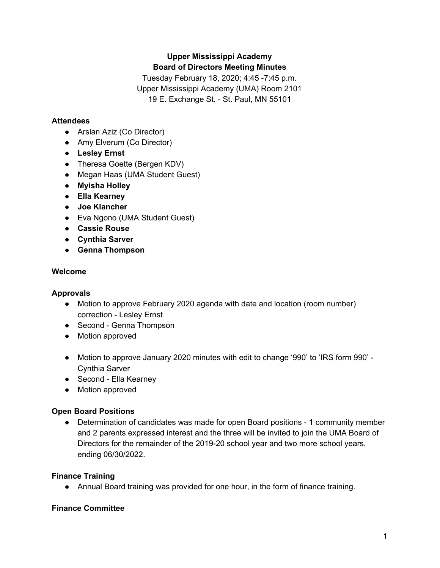# **Upper Mississippi Academy Board of Directors Meeting Minutes**

Tuesday February 18, 2020; 4:45 -7:45 p.m. Upper Mississippi Academy (UMA) Room 2101 19 E. Exchange St. - St. Paul, MN 55101

# **Attendees**

- Arslan Aziz (Co Director)
- Amy Elverum (Co Director)
- **● Lesley Ernst**
- Theresa Goette (Bergen KDV)
- Megan Haas (UMA Student Guest)
- **● Myisha Holley**
- **● Ella Kearney**
- **● Joe Klancher**
- Eva Ngono (UMA Student Guest)
- **● Cassie Rouse**
- **● Cynthia Sarver**
- **● Genna Thompson**

## **Welcome**

## **Approvals**

- Motion to approve February 2020 agenda with date and location (room number) correction - Lesley Ernst
- Second Genna Thompson
- Motion approved
- Motion to approve January 2020 minutes with edit to change '990' to 'IRS form 990' -Cynthia Sarver
- Second Ella Kearney
- Motion approved

## **Open Board Positions**

● Determination of candidates was made for open Board positions - 1 community member and 2 parents expressed interest and the three will be invited to join the UMA Board of Directors for the remainder of the 2019-20 school year and two more school years, ending 06/30/2022.

## **Finance Training**

● Annual Board training was provided for one hour, in the form of finance training.

## **Finance Committee**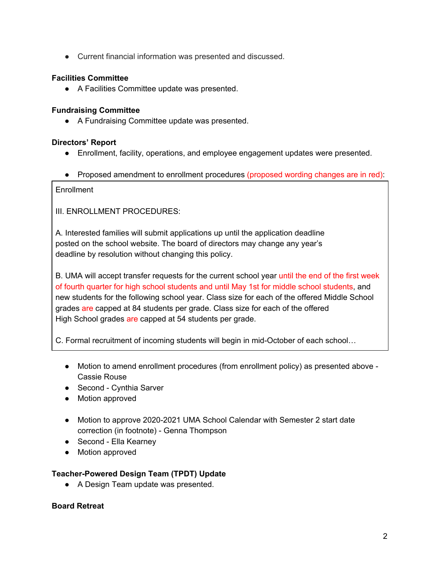● Current financial information was presented and discussed.

### **Facilities Committee**

● A Facilities Committee update was presented.

### **Fundraising Committee**

● A Fundraising Committee update was presented.

### **Directors' Report**

- Enrollment, facility, operations, and employee engagement updates were presented.
- Proposed amendment to enrollment procedures (proposed wording changes are in red):

**Enrollment** 

III. ENROLLMENT PROCEDURES:

A. Interested families will submit applications up until the application deadline posted on the school website. The board of directors may change any year's deadline by resolution without changing this policy.

B. UMA will accept transfer requests for the current school year until the end of the first week of fourth quarter for high school students and until May 1st for middle school students, and new students for the following school year. Class size for each of the offered Middle School grades are capped at 84 students per grade. Class size for each of the offered High School grades are capped at 54 students per grade.

C. Formal recruitment of incoming students will begin in mid-October of each school…

- Motion to amend enrollment procedures (from enrollment policy) as presented above Cassie Rouse
- Second Cvnthia Sarver
- Motion approved
- Motion to approve 2020-2021 UMA School Calendar with Semester 2 start date correction (in footnote) - Genna Thompson
- Second Ella Kearney
- Motion approved

### **Teacher-Powered Design Team (TPDT) Update**

● A Design Team update was presented.

### **Board Retreat**